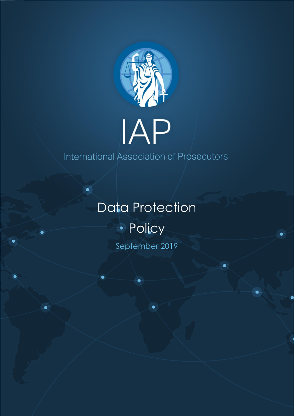

## IAP

International Association of Prosecutors

## Data Protection · Policy September 2019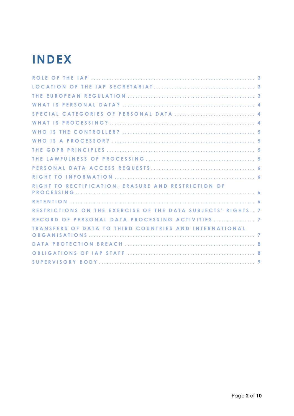## **INDEX**

| RIGHT TO RECTIFICATION, ERASURE AND RESTRICTION OF<br>RESTRICTIONS ON THE EXERCISE OF THE DATA SUBJECTS' RIGHTS 7 |
|-------------------------------------------------------------------------------------------------------------------|
|                                                                                                                   |
|                                                                                                                   |
|                                                                                                                   |
|                                                                                                                   |
|                                                                                                                   |
|                                                                                                                   |
|                                                                                                                   |
|                                                                                                                   |
|                                                                                                                   |
|                                                                                                                   |
|                                                                                                                   |
|                                                                                                                   |
|                                                                                                                   |
|                                                                                                                   |
|                                                                                                                   |
|                                                                                                                   |
| RECORD OF PERSONAL DATA PROCESSING ACTIVITIES  7                                                                  |
| <b>TRANSFERS OF DATA TO THIRD COUNTRIES AND INTERNATIONAL</b>                                                     |
|                                                                                                                   |
|                                                                                                                   |
|                                                                                                                   |
|                                                                                                                   |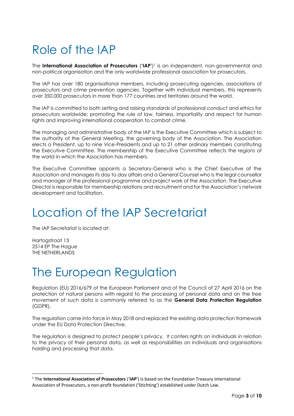## <span id="page-2-0"></span>Role of the IAP

The **International Association of Prosecutors** (**'IAP'**) <sup>1</sup> is an independent, non-governmental and non-political organisation and the only worldwide professional association for prosecutors.

The IAP has over 180 organisational members, including prosecuting agencies, associations of prosecutors and crime prevention agencies. Together with individual members, this represents over 350,000 prosecutors in more than 177 countries and territories around the world.

The IAP is committed to both setting and raising standards of professional conduct and ethics for prosecutors worldwide; promoting the rule of law, fairness, impartiality and respect for human rights and improving international cooperation to combat crime.

The managing and administrative body of the IAP is the Executive Committee which is subject to the authority of the General Meeting, the governing body of the Association. The Association elects a President, up to nine Vice-Presidents and up to 21 other ordinary members constituting the Executive Committee. The membership of the Executive Committee reflects the regions of the world in which the Association has members.

The Executive Committee appoints a Secretary-General who is the Chief Executive of the Association and manages its day to day affairs and a General Counsel who is the legal counsellor and manager of the professional programme and project work of the Association. The Executive Director is responsible for membership relations and recruitment and for the Association's network development and facilitation.

## <span id="page-2-1"></span>Location of the IAP Secretariat

The IAP Secretariat is located at:

Hartogstraat 13 2514 EP The Hague THE NETHERLANDS

#### <span id="page-2-2"></span>The European Regulation

Regulation (EU) 2016/679 of the European Parliament and of the Council of 27 April 2016 on the protection of natural persons with regard to the processing of personal data and on the free movement of such data is commonly referred to as the **General Data Protection Regulation** (GDPR).

The regulation came into force in May 2018 and replaced the existing data protection framework under the EU Data Protection Directive.

The regulation is designed to protect people's privacy. It confers rights on individuals in relation to the privacy of their personal data, as well as responsibilities on individuals and organisations holding and processing that data.

<sup>1</sup> The **International Association of Prosecutors** ('**IAP**') is based on the Foundation Treasury International Association of Prosecutors, a non-profit foundation ('Stichting') established under Dutch Law.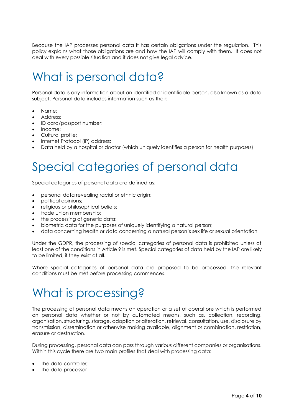Because the IAP processes personal data it has certain obligations under the regulation. This policy explains what those obligations are and how the IAP will comply with them. It does not deal with every possible situation and it does not give legal advice.

## <span id="page-3-0"></span>What is personal data?

Personal data is any information about an identified or identifiable person, also known as a data subject. Personal data includes information such as their:

- Name;
- Address;
- ID card/passport number;
- Income:
- Cultural profile;
- Internet Protocol (IP) address;
- <span id="page-3-1"></span>• Data held by a hospital or doctor (which uniquely identifies a person for health purposes)

## Special categories of personal data

Special categories of personal data are defined as:

- personal data revealing racial or ethnic origin;
- political opinions;
- religious or philosophical beliefs;
- trade union membership;
- the processing of genetic data;
- biometric data for the purposes of uniquely identifying a natural person;
- data concerning health or data concerning a natural person's sex life or sexual orientation

Under the GDPR, the processing of special categories of personal data is prohibited unless at least one of the conditions in Article 9 is met. Special categories of data held by the IAP are likely to be limited, if they exist at all.

Where special categories of personal data are proposed to be processed, the relevant conditions must be met before processing commences.

## <span id="page-3-2"></span>What is processing?

The processing of personal data means an operation or a set of operations which is performed on personal data whether or not by automated means, such as, collection, recording, organisation, structuring, storage, adaption or alteration, retrieval, consultation, use, disclosure by transmission, dissemination or otherwise making available, alignment or combination, restriction, erasure or destruction.

During processing, personal data can pass through various different companies or organisations. Within this cycle there are two main profiles that deal with processing data:

- The data controller;
- The data processor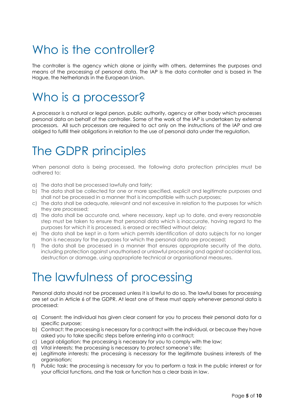## <span id="page-4-0"></span>Who is the controller?

The controller is the agency which alone or jointly with others, determines the purposes and means of the processing of personal data. The IAP is the data controller and is based in The Hague, the Netherlands in the European Union.

## <span id="page-4-1"></span>Who is a processor?

A processor is a natural or legal person, public authority, agency or other body which processes personal data on behalf of the controller. Some of the work of the IAP is undertaken by external processors. All such processors are required to act only on the instructions of the IAP and are obliged to fulfill their obligations in relation to the use of personal data under the regulation.

### <span id="page-4-2"></span>The GDPR principles

When personal data is being processed, the following data protection principles must be adhered to:

- a) The data shall be processed lawfully and fairly;
- b) The data shall be collected for one or more specified, explicit and legitimate purposes and shall not be processed in a manner that is incompatible with such purposes;
- c) The data shall be adequate, relevant and not excessive in relation to the purposes for which they are processed;
- d) The data shall be accurate and, where necessary, kept up to date, and every reasonable step must be taken to ensure that personal data which is inaccurate, having regard to the purposes for which it is processed, is erased or rectified without delay;
- e) The data shall be kept in a form which permits identification of data subjects for no longer than is necessary for the purposes for which the personal data are processed;
- f) The data shall be processed in a manner that ensures appropriate security of the data, including protection against unauthorised or unlawful processing and against accidental loss, destruction or damage, using appropriate technical or organisational measures.

## <span id="page-4-3"></span>The lawfulness of processing

Personal data should not be processed unless it is lawful to do so. The lawful bases for processing are set out in Article 6 of the GDPR. At least one of these must apply whenever personal data is processed:

- a) Consent: the individual has given clear consent for you to process their personal data for a specific purpose;
- b) Contract: the processing is necessary for a contract with the individual, or because they have asked you to take specific steps before entering into a contract;
- c) Legal obligation: the processing is necessary for you to comply with the law;
- d) Vital interests: the processing is necessary to protect someone's life;
- e) Legitimate interests: the processing is necessary for the legitimate business interests of the organisation;
- f) Public task: the processing is necessary for you to perform a task in the public interest or for your official functions, and the task or function has a clear basis in law.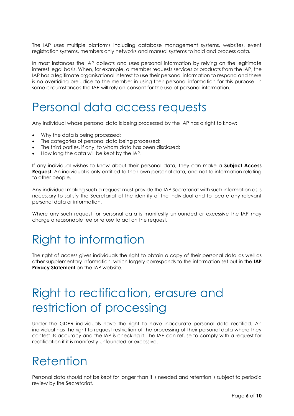The IAP uses multiple platforms including database management systems, websites, event registration systems, members only networks and manual systems to hold and process data.

In most instances the IAP collects and uses personal information by relying on the legitimate interest legal basis. When, for example, a member requests services or products from the IAP, the IAP has a legitimate organisational interest to use their personal information to respond and there is no overriding prejudice to the member in using their personal information for this purpose. In some circumstances the IAP will rely on consent for the use of personal information.

#### <span id="page-5-0"></span>Personal data access requests

Any individual whose personal data is being processed by the IAP has a right to know:

- Why the data is being processed;
- The categories of personal data being processed;
- The third parties, if any, to whom data has been disclosed;
- How long the data will be kept by the IAP.

If any individual wishes to know about their personal data, they can make a **Subject Access Request**. An individual is only entitled to their own personal data, and not to information relating to other people.

Any individual making such a request must provide the IAP Secretariat with such information as is necessary to satisfy the Secretariat of the identity of the individual and to locate any relevant personal data or information.

Where any such request for personal data is manifestly unfounded or excessive the IAP may charge a reasonable fee or refuse to act on the request.

### <span id="page-5-1"></span>Right to information

The right of access gives individuals the right to obtain a copy of their personal data as well as other supplementary information, which largely corresponds to the information set out in the **IAP Privacy Statement** on the IAP website.

## <span id="page-5-2"></span>Right to rectification, erasure and restriction of processing

Under the GDPR individuals have the right to have inaccurate personal data rectified. An individual has the right to request restriction of the processing of their personal data where they contest its accuracy and the IAP is checking it. The IAP can refuse to comply with a request for rectification if it is manifestly unfounded or excessive.

#### <span id="page-5-3"></span>Retention

Personal data should not be kept for longer than it is needed and retention is subject to periodic review by the Secretariat.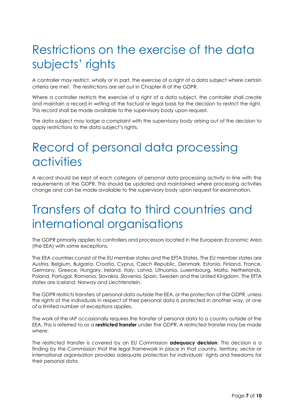## <span id="page-6-0"></span>Restrictions on the exercise of the data subjects' rights

A controller may restrict, wholly or in part, the exercise of a right of a data subject where certain criteria are met. The restrictions are set out in Chapter III of the GDPR.

Where a controller restricts the exercise of a right of a data subject, the controller shall create and maintain a record in writing of the factual or legal basis for the decision to restrict the right. This record shall be made available to the supervisory body upon request.

The data subject may lodge a complaint with the supervisory body arising out of the decision to apply restrictions to the data subject's rights.

### <span id="page-6-1"></span>Record of personal data processing activities

A record should be kept of each category of personal data processing activity in line with the requirements of the GDPR. This should be updated and maintained where processing activities change and can be made available to the supervisory body upon request for examination.

### <span id="page-6-2"></span>Transfers of data to third countries and international organisations

The GDPR primarily applies to controllers and processors located in the European Economic Area (the EEA) with some exceptions.

The EEA countries consist of the EU member states and the EFTA States. The EU member states are Austria, Belgium, Bulgaria, Croatia, Cyprus, Czech Republic, Denmark, Estonia, Finland, France, Germany, Greece, Hungary, Ireland, Italy, Latvia, Lithuania, Luxembourg, Malta, Netherlands, Poland, Portugal, Romania, Slovakia, Slovenia, Spain, Sweden and the United Kingdom. The EFTA states are Iceland, Norway and Liechtenstein.

The GDPR restricts transfers of personal data outside the EEA, or the protection of the GDPR, unless the rights of the individuals in respect of their personal data is protected in another way, or one of a limited number of exceptions applies.

The work of the IAP occasionally requires the transfer of personal data to a country outside of the EEA. This is referred to as a **restricted transfer** under the GDPR. A restricted transfer may be made where:

The restricted transfer is covered by an EU Commission **adequacy decision**. This decision is a finding by the Commission that the legal framework in place in that country, territory, sector or international organisation provides adequate protection for individuals' rights and freedoms for their personal data.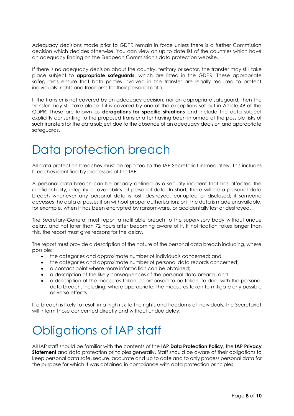Adequacy decisions made prior to GDPR remain in force unless there is a further Commission decision which decides otherwise. You can view an up to date list of the countries which have an adequacy finding on the European Commission's data protection website.

If there is no adequacy decision about the country, territory or sector, the transfer may still take place subject to **appropriate safeguards**, which are listed in the GDPR. These appropriate safeguards ensure that both parties involved in the transfer are legally required to protect individuals' rights and freedoms for their personal data.

If the transfer is not covered by an adequacy decision, nor an appropriate safeguard, then the transfer may still take place if it is covered by one of the exceptions set out in Article 49 of the GDPR. These are known as **derogations for specific situations** and include the data subject explicitly consenting to the proposed transfer after having been informed of the possible risks of such transfers for the data subject due to the absence of an adequacy decision and appropriate safeguards.

### <span id="page-7-0"></span>Data protection breach

All data protection breaches must be reported to the IAP Secretariat immediately. This includes breaches identified by processors of the IAP.

A personal data breach can be broadly defined as a security incident that has affected the confidentiality, integrity or availability of personal data. In short, there will be a personal data breach whenever any personal data is lost, destroyed, corrupted or disclosed; if someone accesses the data or passes it on without proper authorisation; or if the data is made unavailable, for example, when it has been encrypted by ransomware, or accidentally lost or destroyed.

The Secretary-General must report a notifiable breach to the supervisory body without undue delay, and not later than 72 hours after becoming aware of it. If notification takes longer than this, the report must give reasons for the delay.

The report must provide a description of the nature of the personal data breach including, where possible:

- the categories and approximate number of individuals concerned; and
- the categories and approximate number of personal data records concerned;
- a contact point where more information can be obtained;
- a description of the likely consequences of the personal data breach; and
- a description of the measures taken, or proposed to be taken, to deal with the personal data breach, including, where appropriate, the measures taken to mitigate any possible adverse effects.

If a breach is likely to result in a high risk to the rights and freedoms of individuals, the Secretariat will inform those concerned directly and without undue delay.

## <span id="page-7-1"></span>Obligations of IAP staff

All IAP staff should be familiar with the contents of the **IAP Data Protection Policy**, the **IAP Privacy Statement** and data protection principles generally. Staff should be aware of their obligations to keep personal data safe, secure, accurate and up to date and to only process personal data for the purpose for which it was obtained in compliance with data protection principles.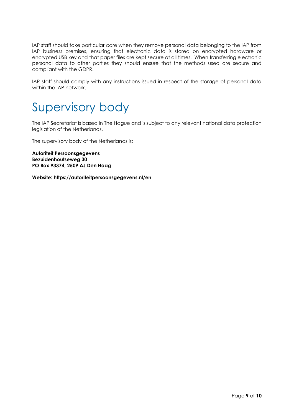IAP staff should take particular care when they remove personal data belonging to the IAP from IAP business premises, ensuring that electronic data is stored on encrypted hardware or encrypted USB key and that paper files are kept secure at all times. When transferring electronic personal data to other parties they should ensure that the methods used are secure and compliant with the GDPR.

IAP staff should comply with any instructions issued in respect of the storage of personal data within the IAP network.

<span id="page-8-0"></span>

The IAP Secretariat is based in The Hague and is subject to any relevant national data protection legislation of the Netherlands.

The supervisory body of the Netherlands is:

**Autoriteit Persoonsgegevens Bezuidenhoutseweg 30 PO Box 93374, 2509 AJ Den Haag**

**Website:<https://autoriteitpersoonsgegevens.nl/en>**